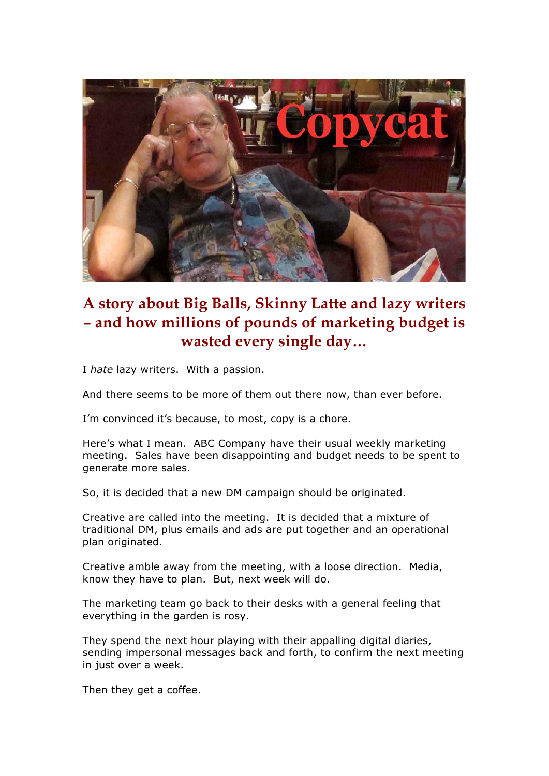

## **A story about Big Balls, Skinny Latte and lazy writers – and how millions of pounds of marketing budget is wasted every single day…**

I *hate* lazy writers. With a passion.

And there seems to be more of them out there now, than ever before.

I'm convinced it's because, to most, copy is a chore.

Here's what I mean. ABC Company have their usual weekly marketing meeting. Sales have been disappointing and budget needs to be spent to generate more sales.

So, it is decided that a new DM campaign should be originated.

Creative are called into the meeting. It is decided that a mixture of traditional DM, plus emails and ads are put together and an operational plan originated.

Creative amble away from the meeting, with a loose direction. Media, know they have to plan. But, next week will do.

The marketing team go back to their desks with a general feeling that everything in the garden is rosy.

They spend the next hour playing with their appalling digital diaries, sending impersonal messages back and forth, to confirm the next meeting in just over a week.

Then they get a coffee.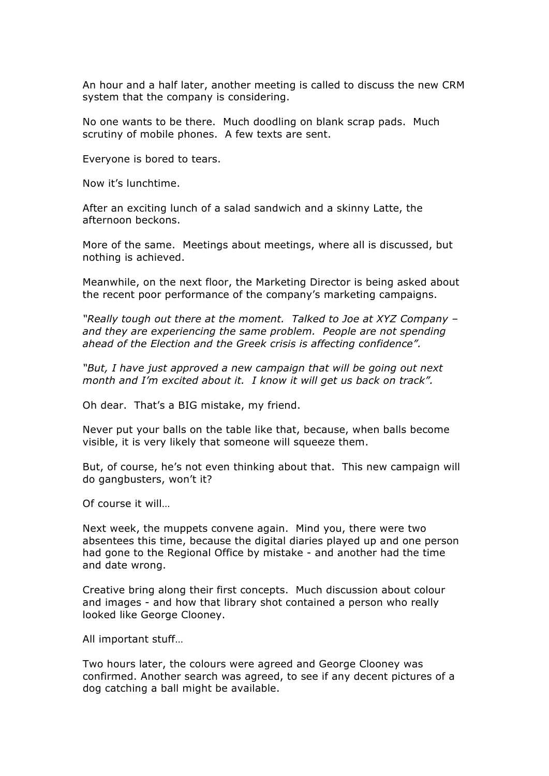An hour and a half later, another meeting is called to discuss the new CRM system that the company is considering.

No one wants to be there. Much doodling on blank scrap pads. Much scrutiny of mobile phones. A few texts are sent.

Everyone is bored to tears.

Now it's lunchtime.

After an exciting lunch of a salad sandwich and a skinny Latte, the afternoon beckons.

More of the same. Meetings about meetings, where all is discussed, but nothing is achieved.

Meanwhile, on the next floor, the Marketing Director is being asked about the recent poor performance of the company's marketing campaigns.

*"Really tough out there at the moment. Talked to Joe at XYZ Company – and they are experiencing the same problem. People are not spending ahead of the Election and the Greek crisis is affecting confidence".*

*"But, I have just approved a new campaign that will be going out next month and I'm excited about it. I know it will get us back on track".*

Oh dear. That's a BIG mistake, my friend.

Never put your balls on the table like that, because, when balls become visible, it is very likely that someone will squeeze them.

But, of course, he's not even thinking about that. This new campaign will do gangbusters, won't it?

Of course it will…

Next week, the muppets convene again. Mind you, there were two absentees this time, because the digital diaries played up and one person had gone to the Regional Office by mistake - and another had the time and date wrong.

Creative bring along their first concepts. Much discussion about colour and images - and how that library shot contained a person who really looked like George Clooney.

All important stuff…

Two hours later, the colours were agreed and George Clooney was confirmed. Another search was agreed, to see if any decent pictures of a dog catching a ball might be available.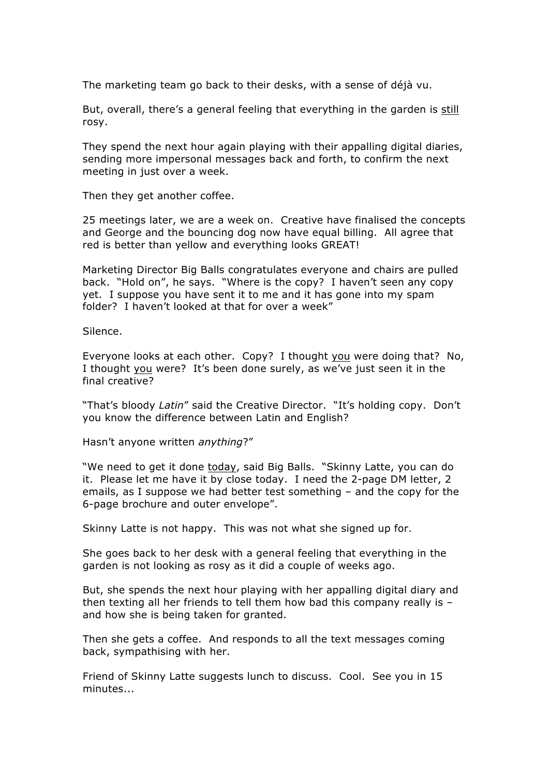The marketing team go back to their desks, with a sense of déjà vu.

But, overall, there's a general feeling that everything in the garden is still rosy.

They spend the next hour again playing with their appalling digital diaries, sending more impersonal messages back and forth, to confirm the next meeting in just over a week.

Then they get another coffee.

25 meetings later, we are a week on. Creative have finalised the concepts and George and the bouncing dog now have equal billing. All agree that red is better than yellow and everything looks GREAT!

Marketing Director Big Balls congratulates everyone and chairs are pulled back. "Hold on", he says. "Where is the copy? I haven't seen any copy yet. I suppose you have sent it to me and it has gone into my spam folder? I haven't looked at that for over a week"

Silence.

Everyone looks at each other. Copy? I thought you were doing that? No, I thought you were? It's been done surely, as we've just seen it in the final creative?

"That's bloody *Latin*" said the Creative Director. "It's holding copy. Don't you know the difference between Latin and English?

Hasn't anyone written *anything*?"

"We need to get it done today, said Big Balls. "Skinny Latte, you can do it. Please let me have it by close today. I need the 2-page DM letter, 2 emails, as I suppose we had better test something – and the copy for the 6-page brochure and outer envelope".

Skinny Latte is not happy. This was not what she signed up for.

She goes back to her desk with a general feeling that everything in the garden is not looking as rosy as it did a couple of weeks ago.

But, she spends the next hour playing with her appalling digital diary and then texting all her friends to tell them how bad this company really is – and how she is being taken for granted.

Then she gets a coffee. And responds to all the text messages coming back, sympathising with her.

Friend of Skinny Latte suggests lunch to discuss. Cool. See you in 15 minutes...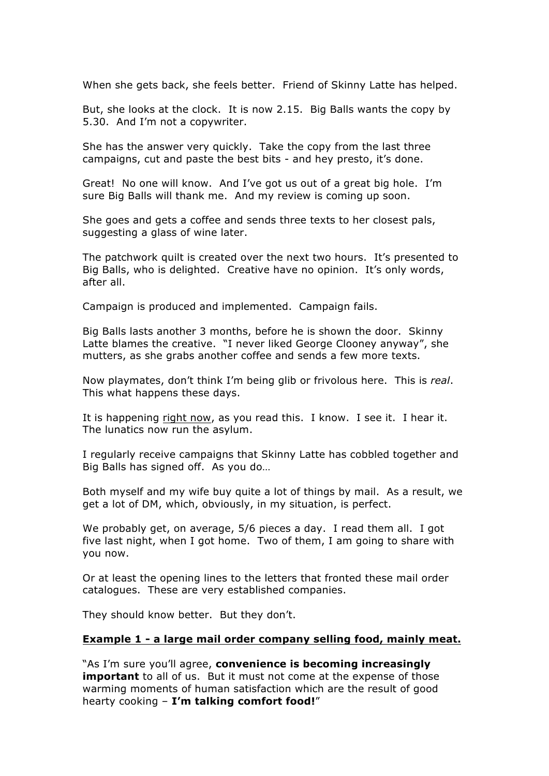When she gets back, she feels better. Friend of Skinny Latte has helped.

But, she looks at the clock. It is now 2.15. Big Balls wants the copy by 5.30. And I'm not a copywriter.

She has the answer very quickly. Take the copy from the last three campaigns, cut and paste the best bits - and hey presto, it's done.

Great! No one will know. And I've got us out of a great big hole. I'm sure Big Balls will thank me. And my review is coming up soon.

She goes and gets a coffee and sends three texts to her closest pals, suggesting a glass of wine later.

The patchwork quilt is created over the next two hours. It's presented to Big Balls, who is delighted. Creative have no opinion. It's only words, after all.

Campaign is produced and implemented. Campaign fails.

Big Balls lasts another 3 months, before he is shown the door. Skinny Latte blames the creative. "I never liked George Clooney anyway", she mutters, as she grabs another coffee and sends a few more texts.

Now playmates, don't think I'm being glib or frivolous here. This is *real*. This what happens these days.

It is happening right now, as you read this. I know. I see it. I hear it. The lunatics now run the asylum.

I regularly receive campaigns that Skinny Latte has cobbled together and Big Balls has signed off. As you do…

Both myself and my wife buy quite a lot of things by mail. As a result, we get a lot of DM, which, obviously, in my situation, is perfect.

We probably get, on average, 5/6 pieces a day. I read them all. I got five last night, when I got home. Two of them, I am going to share with you now.

Or at least the opening lines to the letters that fronted these mail order catalogues. These are very established companies.

They should know better. But they don't.

## **Example 1 - a large mail order company selling food, mainly meat.**

"As I'm sure you'll agree, **convenience is becoming increasingly important** to all of us. But it must not come at the expense of those warming moments of human satisfaction which are the result of good hearty cooking – **I'm talking comfort food!**"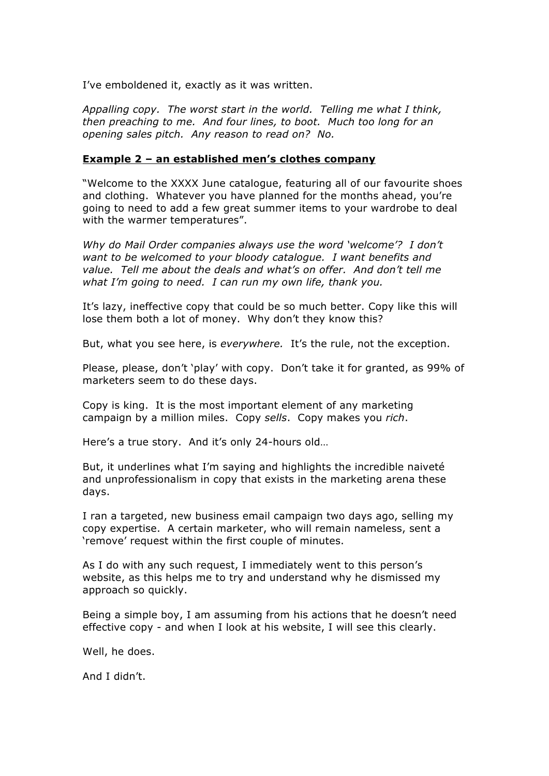I've emboldened it, exactly as it was written.

*Appalling copy. The worst start in the world. Telling me what I think, then preaching to me. And four lines, to boot. Much too long for an opening sales pitch. Any reason to read on? No.*

## **Example 2 – an established men's clothes company**

"Welcome to the XXXX June catalogue, featuring all of our favourite shoes and clothing. Whatever you have planned for the months ahead, you're going to need to add a few great summer items to your wardrobe to deal with the warmer temperatures".

*Why do Mail Order companies always use the word 'welcome'? I don't want to be welcomed to your bloody catalogue. I want benefits and value. Tell me about the deals and what's on offer. And don't tell me what I'm going to need. I can run my own life, thank you.*

It's lazy, ineffective copy that could be so much better. Copy like this will lose them both a lot of money. Why don't they know this?

But, what you see here, is *everywhere.* It's the rule, not the exception.

Please, please, don't 'play' with copy. Don't take it for granted, as 99% of marketers seem to do these days.

Copy is king. It is the most important element of any marketing campaign by a million miles. Copy *sells*. Copy makes you *rich*.

Here's a true story. And it's only 24-hours old…

But, it underlines what I'm saying and highlights the incredible naiveté and unprofessionalism in copy that exists in the marketing arena these days.

I ran a targeted, new business email campaign two days ago, selling my copy expertise. A certain marketer, who will remain nameless, sent a 'remove' request within the first couple of minutes.

As I do with any such request, I immediately went to this person's website, as this helps me to try and understand why he dismissed my approach so quickly.

Being a simple boy, I am assuming from his actions that he doesn't need effective copy - and when I look at his website, I will see this clearly.

Well, he does.

And I didn't.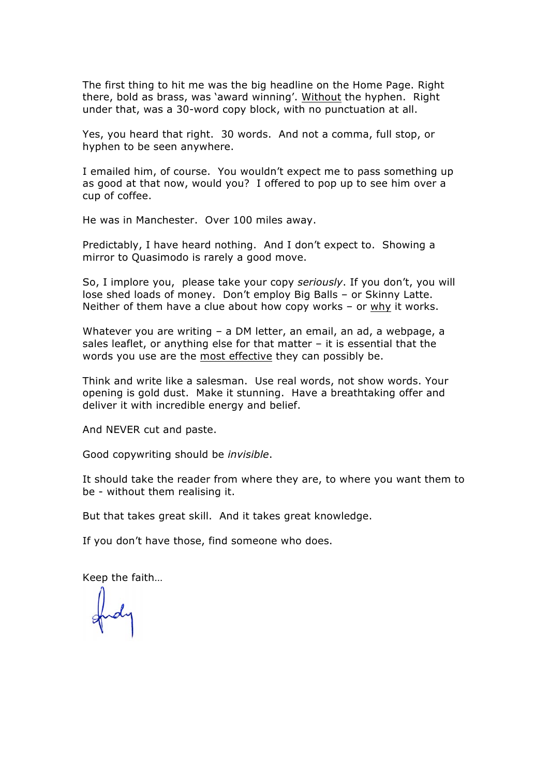The first thing to hit me was the big headline on the Home Page. Right there, bold as brass, was 'award winning'. Without the hyphen. Right under that, was a 30-word copy block, with no punctuation at all.

Yes, you heard that right. 30 words. And not a comma, full stop, or hyphen to be seen anywhere.

I emailed him, of course. You wouldn't expect me to pass something up as good at that now, would you? I offered to pop up to see him over a cup of coffee.

He was in Manchester. Over 100 miles away.

Predictably, I have heard nothing. And I don't expect to. Showing a mirror to Quasimodo is rarely a good move.

So, I implore you, please take your copy *seriously*. If you don't, you will lose shed loads of money. Don't employ Big Balls – or Skinny Latte. Neither of them have a clue about how copy works – or why it works.

Whatever you are writing – a DM letter, an email, an ad, a webpage, a sales leaflet, or anything else for that matter – it is essential that the words you use are the most effective they can possibly be.

Think and write like a salesman. Use real words, not show words. Your opening is gold dust. Make it stunning. Have a breathtaking offer and deliver it with incredible energy and belief.

And NEVER cut and paste.

Good copywriting should be *invisible*.

It should take the reader from where they are, to where you want them to be - without them realising it.

But that takes great skill. And it takes great knowledge.

If you don't have those, find someone who does.

Keep the faith…